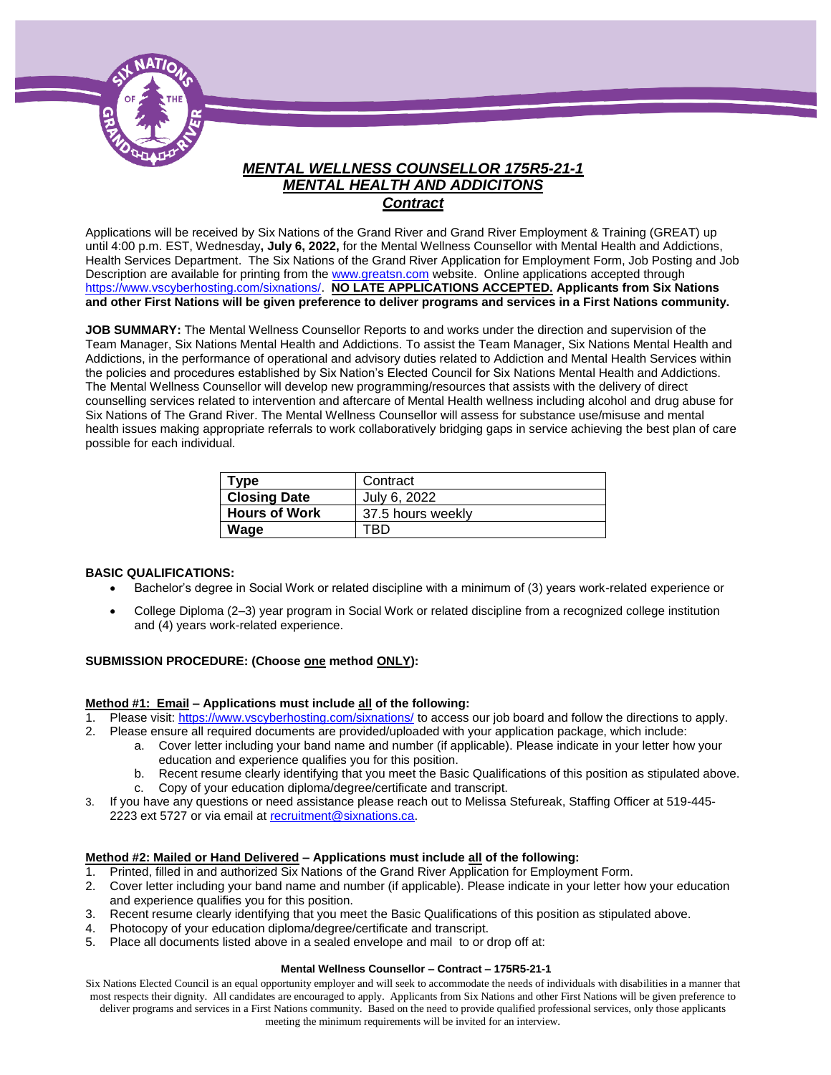

# *MENTAL WELLNESS COUNSELLOR 175R5-21-1 MENTAL HEALTH AND ADDICITONS Contract*

Applications will be received by Six Nations of the Grand River and Grand River Employment & Training (GREAT) up until 4:00 p.m. EST, Wednesday**, July 6, 2022,** for the Mental Wellness Counsellor with Mental Health and Addictions, Health Services Department. The Six Nations of the Grand River Application for Employment Form, Job Posting and Job Description are available for printing from th[e www.greatsn.com](http://www.greatsn.com/) website. Online applications accepted through [https://www.vscyberhosting.com/sixnations/.](https://www.vscyberhosting.com/sixnations/) **NO LATE APPLICATIONS ACCEPTED. Applicants from Six Nations and other First Nations will be given preference to deliver programs and services in a First Nations community.**

**JOB SUMMARY:** The Mental Wellness Counsellor Reports to and works under the direction and supervision of the Team Manager, Six Nations Mental Health and Addictions. To assist the Team Manager, Six Nations Mental Health and Addictions, in the performance of operational and advisory duties related to Addiction and Mental Health Services within the policies and procedures established by Six Nation's Elected Council for Six Nations Mental Health and Addictions. The Mental Wellness Counsellor will develop new programming/resources that assists with the delivery of direct counselling services related to intervention and aftercare of Mental Health wellness including alcohol and drug abuse for Six Nations of The Grand River. The Mental Wellness Counsellor will assess for substance use/misuse and mental health issues making appropriate referrals to work collaboratively bridging gaps in service achieving the best plan of care possible for each individual.

| Type                 | Contract          |
|----------------------|-------------------|
| <b>Closing Date</b>  | July 6, 2022      |
| <b>Hours of Work</b> | 37.5 hours weekly |
| Wage                 | TRГ               |

#### **BASIC QUALIFICATIONS:**

- Bachelor's degree in Social Work or related discipline with a minimum of (3) years work-related experience or
- College Diploma (2–3) year program in Social Work or related discipline from a recognized college institution and (4) years work-related experience.

#### **SUBMISSION PROCEDURE: (Choose one method ONLY):**

#### **Method #1: Email – Applications must include all of the following:**

- 1. Please visit[: https://www.vscyberhosting.com/sixnations/](https://www.vscyberhosting.com/sixnations/) to access our job board and follow the directions to apply.
- 2. Please ensure all required documents are provided/uploaded with your application package, which include:
	- a. Cover letter including your band name and number (if applicable). Please indicate in your letter how your education and experience qualifies you for this position.
		- b. Recent resume clearly identifying that you meet the Basic Qualifications of this position as stipulated above. c. Copy of your education diploma/degree/certificate and transcript.
- 3. If you have any questions or need assistance please reach out to Melissa Stefureak, Staffing Officer at 519-445- 2223 ext 5727 or via email at [recruitment@sixnations.ca.](mailto:recruitment@sixnations.ca)

#### **Method #2: Mailed or Hand Delivered – Applications must include all of the following:**

- 1. Printed, filled in and authorized Six Nations of the Grand River Application for Employment Form.
- 2. Cover letter including your band name and number (if applicable). Please indicate in your letter how your education and experience qualifies you for this position.
- 3. Recent resume clearly identifying that you meet the Basic Qualifications of this position as stipulated above.
- 4. Photocopy of your education diploma/degree/certificate and transcript.
- 5. Place all documents listed above in a sealed envelope and mail to or drop off at:

#### **Mental Wellness Counsellor – Contract – 175R5-21-1**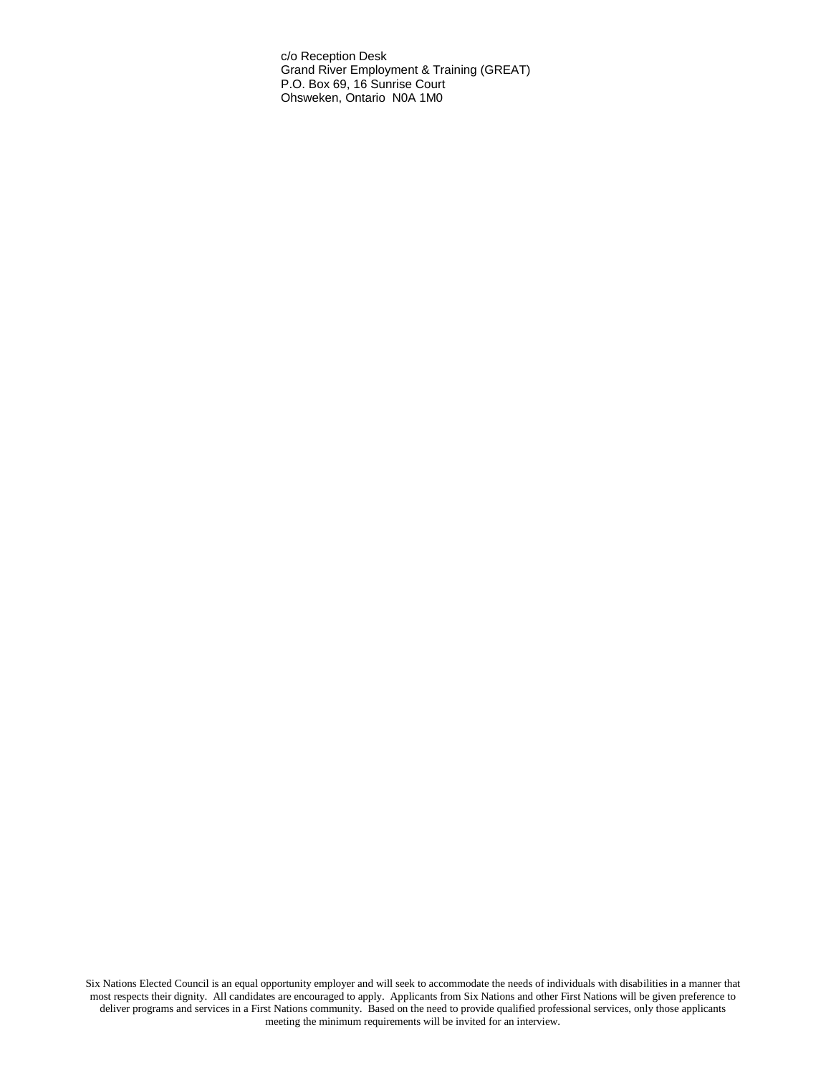c/o Reception Desk Grand River Employment & Training (GREAT) P.O. Box 69, 16 Sunrise Court Ohsweken, Ontario N0A 1M0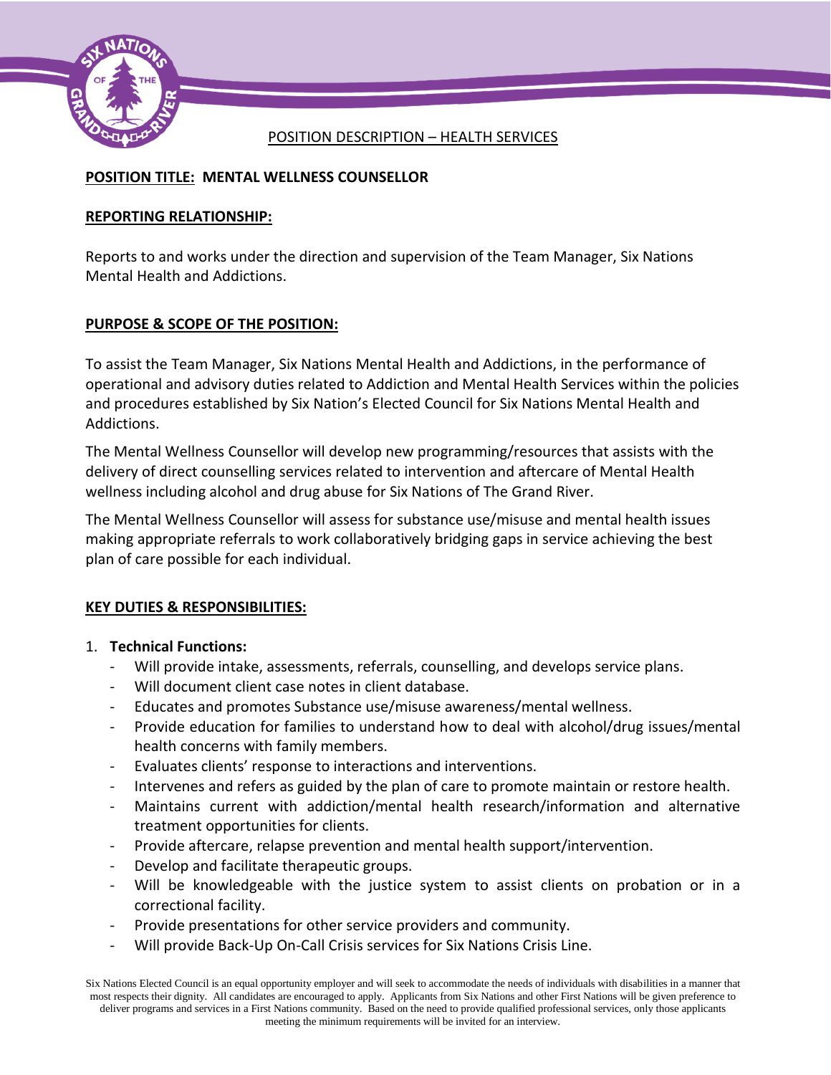

## POSITION DESCRIPTION – HEALTH SERVICES

# **POSITION TITLE: MENTAL WELLNESS COUNSELLOR**

## **REPORTING RELATIONSHIP:**

Reports to and works under the direction and supervision of the Team Manager, Six Nations Mental Health and Addictions.

# **PURPOSE & SCOPE OF THE POSITION:**

To assist the Team Manager, Six Nations Mental Health and Addictions, in the performance of operational and advisory duties related to Addiction and Mental Health Services within the policies and procedures established by Six Nation's Elected Council for Six Nations Mental Health and Addictions.

The Mental Wellness Counsellor will develop new programming/resources that assists with the delivery of direct counselling services related to intervention and aftercare of Mental Health wellness including alcohol and drug abuse for Six Nations of The Grand River.

The Mental Wellness Counsellor will assess for substance use/misuse and mental health issues making appropriate referrals to work collaboratively bridging gaps in service achieving the best plan of care possible for each individual.

# **KEY DUTIES & RESPONSIBILITIES:**

# 1. **Technical Functions:**

- Will provide intake, assessments, referrals, counselling, and develops service plans.
- Will document client case notes in client database.
- Educates and promotes Substance use/misuse awareness/mental wellness.
- Provide education for families to understand how to deal with alcohol/drug issues/mental health concerns with family members.
- Evaluates clients' response to interactions and interventions.
- Intervenes and refers as guided by the plan of care to promote maintain or restore health.
- Maintains current with addiction/mental health research/information and alternative treatment opportunities for clients.
- Provide aftercare, relapse prevention and mental health support/intervention.
- Develop and facilitate therapeutic groups.
- Will be knowledgeable with the justice system to assist clients on probation or in a correctional facility.
- Provide presentations for other service providers and community.
- Will provide Back-Up On-Call Crisis services for Six Nations Crisis Line.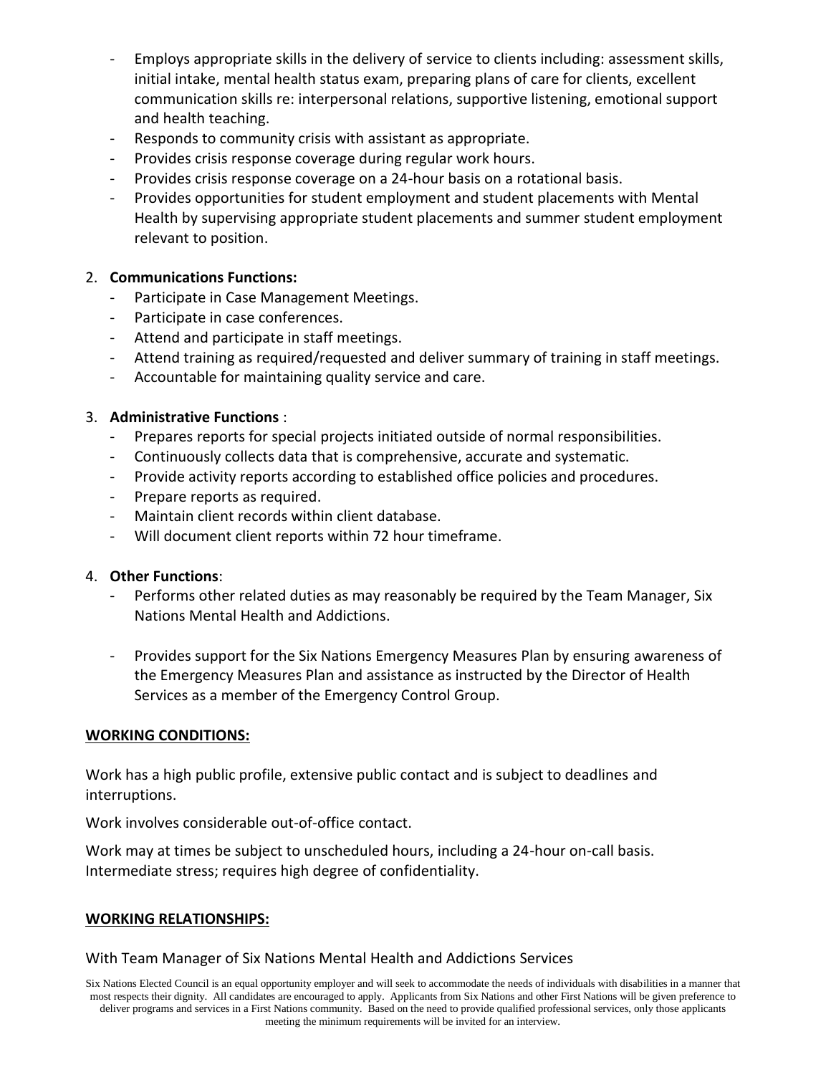- Employs appropriate skills in the delivery of service to clients including: assessment skills, initial intake, mental health status exam, preparing plans of care for clients, excellent communication skills re: interpersonal relations, supportive listening, emotional support and health teaching.
- Responds to community crisis with assistant as appropriate.
- Provides crisis response coverage during regular work hours.
- Provides crisis response coverage on a 24-hour basis on a rotational basis.
- Provides opportunities for student employment and student placements with Mental Health by supervising appropriate student placements and summer student employment relevant to position.

## 2. **Communications Functions:**

- Participate in Case Management Meetings.
- Participate in case conferences.
- Attend and participate in staff meetings.
- Attend training as required/requested and deliver summary of training in staff meetings.
- Accountable for maintaining quality service and care.

## 3. **Administrative Functions** :

- Prepares reports for special projects initiated outside of normal responsibilities.
- Continuously collects data that is comprehensive, accurate and systematic.
- Provide activity reports according to established office policies and procedures.
- Prepare reports as required.
- Maintain client records within client database.
- Will document client reports within 72 hour timeframe.

## 4. **Other Functions**:

- Performs other related duties as may reasonably be required by the Team Manager, Six Nations Mental Health and Addictions.
- Provides support for the Six Nations Emergency Measures Plan by ensuring awareness of the Emergency Measures Plan and assistance as instructed by the Director of Health Services as a member of the Emergency Control Group.

## **WORKING CONDITIONS:**

Work has a high public profile, extensive public contact and is subject to deadlines and interruptions.

Work involves considerable out-of-office contact.

Work may at times be subject to unscheduled hours, including a 24-hour on-call basis. Intermediate stress; requires high degree of confidentiality.

## **WORKING RELATIONSHIPS:**

## With Team Manager of Six Nations Mental Health and Addictions Services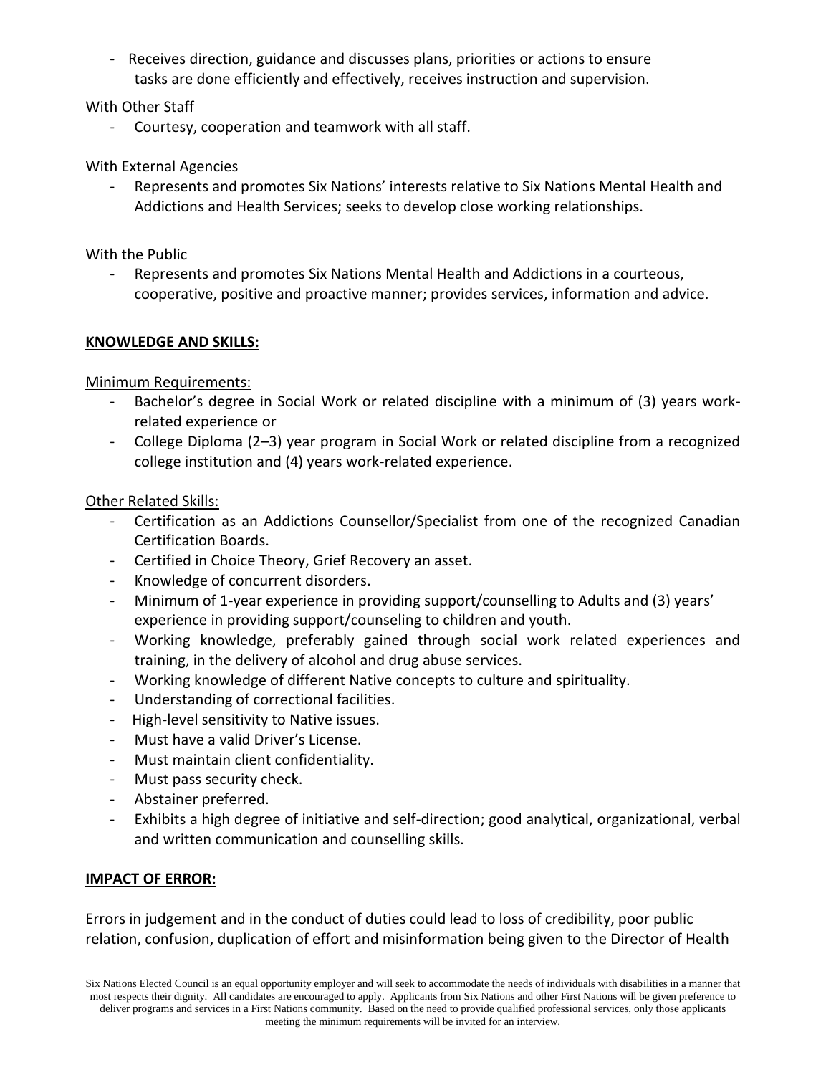- Receives direction, guidance and discusses plans, priorities or actions to ensure tasks are done efficiently and effectively, receives instruction and supervision.

## With Other Staff

- Courtesy, cooperation and teamwork with all staff.

## With External Agencies

- Represents and promotes Six Nations' interests relative to Six Nations Mental Health and Addictions and Health Services; seeks to develop close working relationships.

## With the Public

- Represents and promotes Six Nations Mental Health and Addictions in a courteous, cooperative, positive and proactive manner; provides services, information and advice.

## **KNOWLEDGE AND SKILLS:**

Minimum Requirements:

- Bachelor's degree in Social Work or related discipline with a minimum of (3) years workrelated experience or
- College Diploma (2–3) year program in Social Work or related discipline from a recognized college institution and (4) years work-related experience.

## Other Related Skills:

- Certification as an Addictions Counsellor/Specialist from one of the recognized Canadian Certification Boards.
- Certified in Choice Theory, Grief Recovery an asset.
- Knowledge of concurrent disorders.
- Minimum of 1-year experience in providing support/counselling to Adults and (3) years' experience in providing support/counseling to children and youth.
- Working knowledge, preferably gained through social work related experiences and training, in the delivery of alcohol and drug abuse services.
- Working knowledge of different Native concepts to culture and spirituality.
- Understanding of correctional facilities.
- High-level sensitivity to Native issues.
- Must have a valid Driver's License.
- Must maintain client confidentiality.
- Must pass security check.
- Abstainer preferred.
- Exhibits a high degree of initiative and self-direction; good analytical, organizational, verbal and written communication and counselling skills.

## **IMPACT OF ERROR:**

Errors in judgement and in the conduct of duties could lead to loss of credibility, poor public relation, confusion, duplication of effort and misinformation being given to the Director of Health